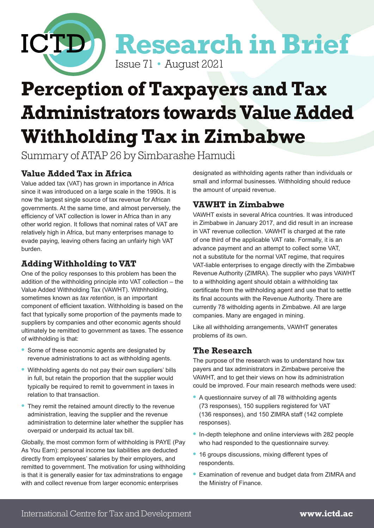

# **Perception of Taxpayers and Tax Administrators towards Value Added Withholding Tax in Zimbabwe**

Summary of ATAP 26 by Simbarashe Hamudi

# **Value Added Tax in Africa**

Value added tax (VAT) has grown in importance in Africa since it was introduced on a large scale in the 1990s. It is now the largest single source of tax revenue for African governments. At the same time, and almost perversely, the efficiency of VAT collection is lower in Africa than in any other world region. It follows that nominal rates of VAT are relatively high in Africa, but many enterprises manage to evade paying, leaving others facing an unfairly high VAT burden.

# **Adding Withholding to VAT**

One of the policy responses to this problem has been the addition of the withholding principle into VAT collection – the Value Added Withholding Tax (VAWHT). Withhholding, sometimes known as *tax retention*, is an important component of efficient taxation. Withholding is based on the fact that typically some proportion of the payments made to suppliers by companies and other economic agents should ultimately be remitted to government as taxes. The essence of withholding is that:

- **•** Some of these economic agents are designated by revenue administrations to act as withholding agents.
- **•** Withholding agents do not pay their own suppliers' bills in full, but retain the proportion that the supplier would typically be required to remit to government in taxes in relation to that transaction.
- **•** They remit the retained amount directly to the revenue administration, leaving the supplier and the revenue administration to determine later whether the supplier has overpaid or underpaid its actual tax bill.

Globally, the most common form of withholding is PAYE (Pay As You Earn): personal income tax liabilities are deducted directly from employees' salaries by their employers, and remitted to government. The motivation for using withholding is that it is generally easier for tax adminstrations to engage with and collect revenue from larger economic enterprises

designated as withholding agents rather than individuals or small and informal businesses. Withholding should reduce the amount of unpaid revenue.

## **VAWHT in Zimbabwe**

VAWHT exists in several Africa countries. It was introduced in Zimbabwe in January 2017, and did result in an increase in VAT revenue collection. VAWHT is charged at the rate of one third of the applicable VAT rate. Formally, it is an advance payment and an attempt to collect some VAT, not a substitute for the normal VAT regime, that requires VAT-liable enterprises to engage directly with the Zimbabwe Revenue Authority (ZIMRA). The supplier who pays VAWHT to a withholding agent should obtain a withholding tax certificate from the withholding agent and use that to settle its final accounts with the Revenue Authority. There are currently 78 witholding agents in Zimbabwe. All are large companies. Many are engaged in mining.

Like all withholding arrangements, VAWHT generates problems of its own.

#### **The Research**

The purpose of the research was to understand how tax payers and tax administrators in Zimbabwe perceive the VAWHT, and to get their views on how its administration could be improved. Four main research methods were used:

- **•** A questionnaire survey of all 78 withholding agents (73 responses), 150 suppliers registered for VAT (136 responses), and 150 ZIMRA staff (142 complete responses).
- **•** In-depth telephone and online interviews with 282 people who had responded to the questionnaire survey.
- **•** 16 groups discussions, mixing different types of respondents.
- **•** Examination of revenue and budget data from ZIMRA and the Ministry of Finance.